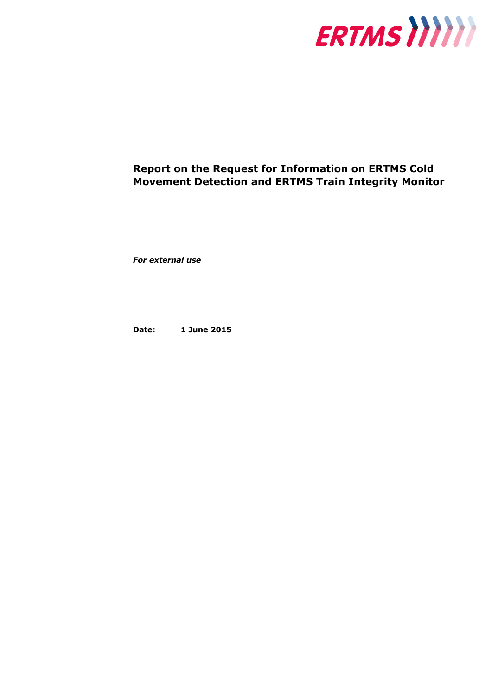

# **Report on the Request for Information on ERTMS Cold Movement Detection and ERTMS Train Integrity Monitor**

*For external use*

**Date: 1 June 2015**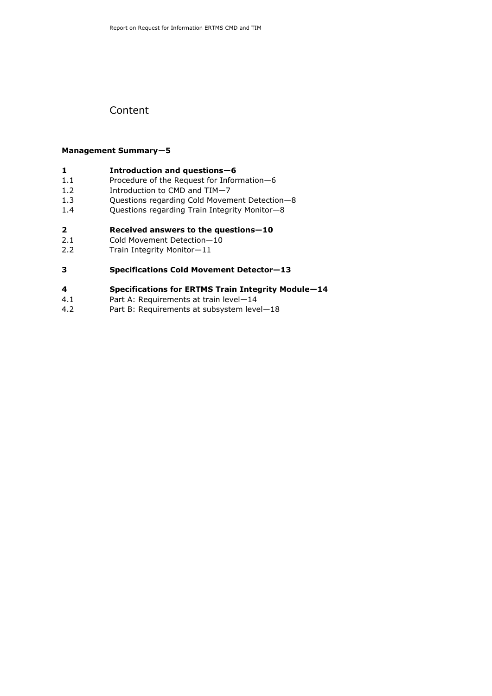## Content

#### **Management Summary—5**

### **1 Introduction and questions—6**

- 1.1 Procedure of the Request for Information—6
- 1.2 Introduction to CMD and TIM—7
- 1.3 Questions regarding Cold Movement Detection—8
- 1.4 Questions regarding Train Integrity Monitor—8

### **2 Received answers to the questions—10**

- 2.1 Cold Movement Detection—10
- 2.2 Train Integrity Monitor—11

### **3 Specifications Cold Movement Detector—13**

### **4 Specifications for ERTMS Train Integrity Module—14**

- 4.1 Part A: Requirements at train level—14
- 4.2 Part B: Requirements at subsystem level—18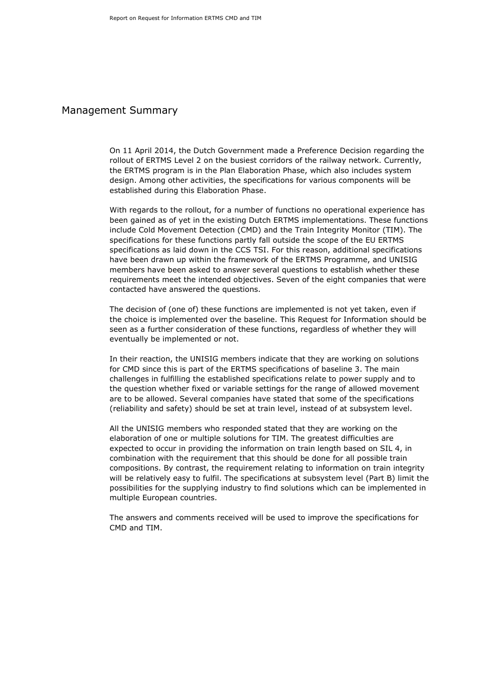### Management Summary

On 11 April 2014, the Dutch Government made a Preference Decision regarding the rollout of ERTMS Level 2 on the busiest corridors of the railway network. Currently, the ERTMS program is in the Plan Elaboration Phase, which also includes system design. Among other activities, the specifications for various components will be established during this Elaboration Phase.

With regards to the rollout, for a number of functions no operational experience has been gained as of yet in the existing Dutch ERTMS implementations. These functions include Cold Movement Detection (CMD) and the Train Integrity Monitor (TIM). The specifications for these functions partly fall outside the scope of the EU ERTMS specifications as laid down in the CCS TSI. For this reason, additional specifications have been drawn up within the framework of the ERTMS Programme, and UNISIG members have been asked to answer several questions to establish whether these requirements meet the intended objectives. Seven of the eight companies that were contacted have answered the questions.

The decision of (one of) these functions are implemented is not yet taken, even if the choice is implemented over the baseline. This Request for Information should be seen as a further consideration of these functions, regardless of whether they will eventually be implemented or not.

In their reaction, the UNISIG members indicate that they are working on solutions for CMD since this is part of the ERTMS specifications of baseline 3. The main challenges in fulfilling the established specifications relate to power supply and to the question whether fixed or variable settings for the range of allowed movement are to be allowed. Several companies have stated that some of the specifications (reliability and safety) should be set at train level, instead of at subsystem level.

All the UNISIG members who responded stated that they are working on the elaboration of one or multiple solutions for TIM. The greatest difficulties are expected to occur in providing the information on train length based on SIL 4, in combination with the requirement that this should be done for all possible train compositions. By contrast, the requirement relating to information on train integrity will be relatively easy to fulfil. The specifications at subsystem level (Part B) limit the possibilities for the supplying industry to find solutions which can be implemented in multiple European countries.

The answers and comments received will be used to improve the specifications for CMD and TIM.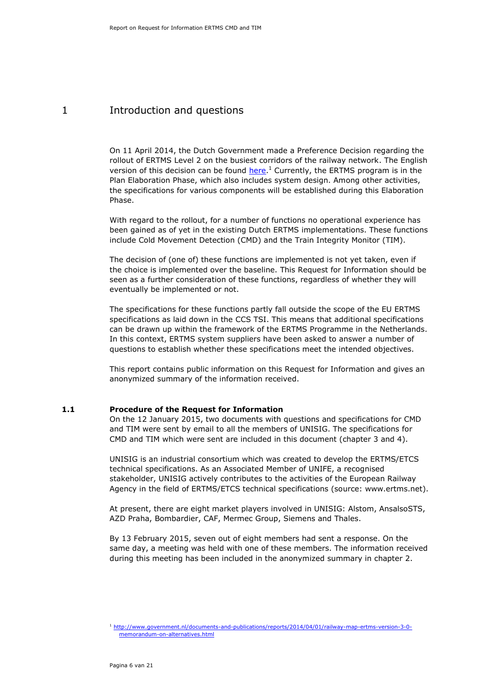## 1 Introduction and questions

On 11 April 2014, the Dutch Government made a Preference Decision regarding the rollout of ERTMS Level 2 on the busiest corridors of the railway network. The English version of this decision can be found [here.](http://www.government.nl/documents-and-publications/reports/2014/04/01/railway-map-ertms-version-3-0-memorandum-on-alternatives.html)<sup>1</sup> Currently, the ERTMS program is in the Plan Elaboration Phase, which also includes system design. Among other activities, the specifications for various components will be established during this Elaboration Phase.

With regard to the rollout, for a number of functions no operational experience has been gained as of yet in the existing Dutch ERTMS implementations. These functions include Cold Movement Detection (CMD) and the Train Integrity Monitor (TIM).

The decision of (one of) these functions are implemented is not yet taken, even if the choice is implemented over the baseline. This Request for Information should be seen as a further consideration of these functions, regardless of whether they will eventually be implemented or not.

The specifications for these functions partly fall outside the scope of the EU ERTMS specifications as laid down in the CCS TSI. This means that additional specifications can be drawn up within the framework of the ERTMS Programme in the Netherlands. In this context, ERTMS system suppliers have been asked to answer a number of questions to establish whether these specifications meet the intended objectives.

This report contains public information on this Request for Information and gives an anonymized summary of the information received.

#### **1.1 Procedure of the Request for Information**

On the 12 January 2015, two documents with questions and specifications for CMD and TIM were sent by email to all the members of UNISIG. The specifications for CMD and TIM which were sent are included in this document (chapter 3 and 4).

UNISIG is an industrial consortium which was created to develop the ERTMS/ETCS technical specifications. As an Associated Member of UNIFE, a recognised stakeholder, UNISIG actively contributes to the activities of the European Railway Agency in the field of ERTMS/ETCS technical specifications (source: www.ertms.net).

At present, there are eight market players involved in UNISIG: Alstom, AnsalsoSTS, AZD Praha, Bombardier, CAF, Mermec Group, Siemens and Thales.

By 13 February 2015, seven out of eight members had sent a response. On the same day, a meeting was held with one of these members. The information received during this meeting has been included in the anonymized summary in chapter 2.

<sup>1</sup> [http://www.government.nl/documents-and-publications/reports/2014/04/01/railway-map-ertms-version-3-0](http://www.government.nl/documents-and-publications/reports/2014/04/01/railway-map-ertms-version-3-0-memorandum-on-alternatives.html) [memorandum-on-alternatives.html](http://www.government.nl/documents-and-publications/reports/2014/04/01/railway-map-ertms-version-3-0-memorandum-on-alternatives.html)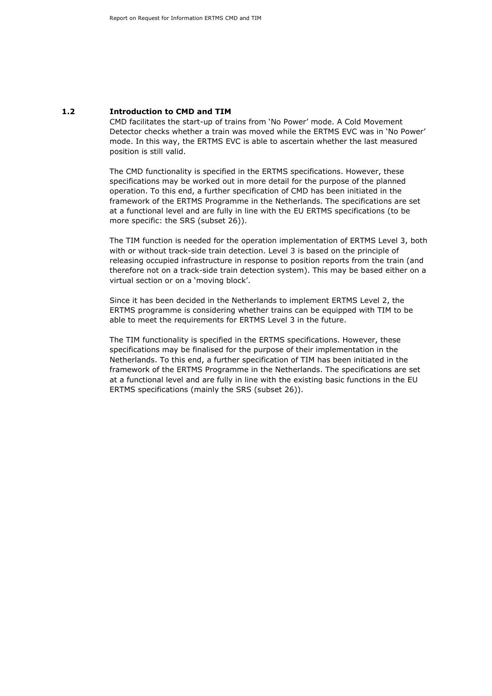#### **1.2 Introduction to CMD and TIM**

CMD facilitates the start-up of trains from 'No Power' mode. A Cold Movement Detector checks whether a train was moved while the ERTMS EVC was in 'No Power' mode. In this way, the ERTMS EVC is able to ascertain whether the last measured position is still valid.

The CMD functionality is specified in the ERTMS specifications. However, these specifications may be worked out in more detail for the purpose of the planned operation. To this end, a further specification of CMD has been initiated in the framework of the ERTMS Programme in the Netherlands. The specifications are set at a functional level and are fully in line with the EU ERTMS specifications (to be more specific: the SRS (subset 26)).

The TIM function is needed for the operation implementation of ERTMS Level 3, both with or without track-side train detection. Level 3 is based on the principle of releasing occupied infrastructure in response to position reports from the train (and therefore not on a track-side train detection system). This may be based either on a virtual section or on a 'moving block'.

Since it has been decided in the Netherlands to implement ERTMS Level 2, the ERTMS programme is considering whether trains can be equipped with TIM to be able to meet the requirements for ERTMS Level 3 in the future.

The TIM functionality is specified in the ERTMS specifications. However, these specifications may be finalised for the purpose of their implementation in the Netherlands. To this end, a further specification of TIM has been initiated in the framework of the ERTMS Programme in the Netherlands. The specifications are set at a functional level and are fully in line with the existing basic functions in the EU ERTMS specifications (mainly the SRS (subset 26)).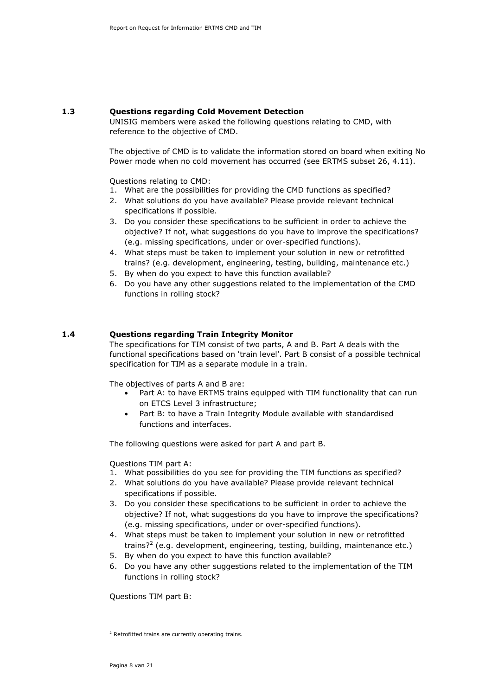### **1.3 Questions regarding Cold Movement Detection**

UNISIG members were asked the following questions relating to CMD, with reference to the objective of CMD.

The objective of CMD is to validate the information stored on board when exiting No Power mode when no cold movement has occurred (see ERTMS subset 26, 4.11).

Questions relating to CMD:

- 1. What are the possibilities for providing the CMD functions as specified?
- 2. What solutions do you have available? Please provide relevant technical specifications if possible.
- 3. Do you consider these specifications to be sufficient in order to achieve the objective? If not, what suggestions do you have to improve the specifications? (e.g. missing specifications, under or over-specified functions).
- 4. What steps must be taken to implement your solution in new or retrofitted trains? (e.g. development, engineering, testing, building, maintenance etc.)
- 5. By when do you expect to have this function available?
- 6. Do you have any other suggestions related to the implementation of the CMD functions in rolling stock?

#### **1.4 Questions regarding Train Integrity Monitor**

The specifications for TIM consist of two parts, A and B. Part A deals with the functional specifications based on 'train level'. Part B consist of a possible technical specification for TIM as a separate module in a train.

The objectives of parts A and B are:

- Part A: to have ERTMS trains equipped with TIM functionality that can run on ETCS Level 3 infrastructure;
- Part B: to have a Train Integrity Module available with standardised functions and interfaces.

The following questions were asked for part A and part B.

Questions TIM part A:

- 1. What possibilities do you see for providing the TIM functions as specified?
- 2. What solutions do you have available? Please provide relevant technical specifications if possible.
- 3. Do you consider these specifications to be sufficient in order to achieve the objective? If not, what suggestions do you have to improve the specifications? (e.g. missing specifications, under or over-specified functions).
- 4. What steps must be taken to implement your solution in new or retrofitted trains?<sup>2</sup> (e.g. development, engineering, testing, building, maintenance etc.)
- 5. By when do you expect to have this function available?
- 6. Do you have any other suggestions related to the implementation of the TIM functions in rolling stock?

Questions TIM part B:

<sup>&</sup>lt;sup>2</sup> Retrofitted trains are currently operating trains.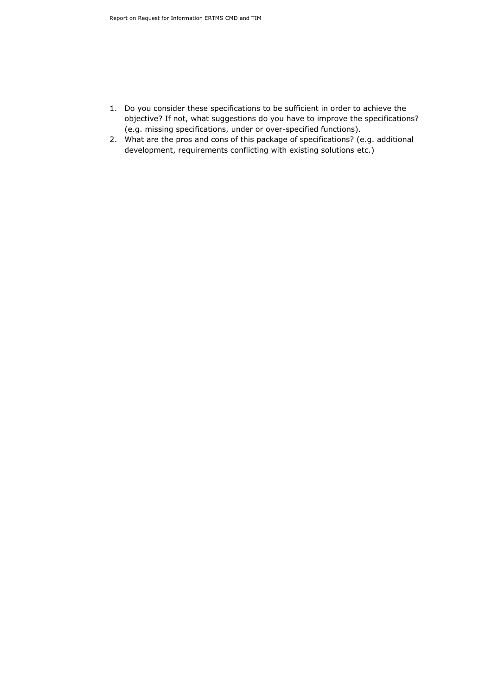- 1. Do you consider these specifications to be sufficient in order to achieve the objective? If not, what suggestions do you have to improve the specifications? (e.g. missing specifications, under or over-specified functions).
- 2. What are the pros and cons of this package of specifications? (e.g. additional development, requirements conflicting with existing solutions etc.)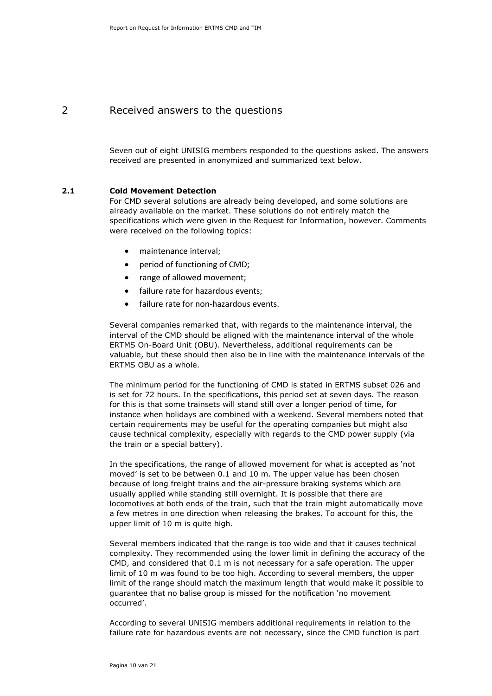## 2 Received answers to the questions

Seven out of eight UNISIG members responded to the questions asked. The answers received are presented in anonymized and summarized text below.

#### **2.1 Cold Movement Detection**

For CMD several solutions are already being developed, and some solutions are already available on the market. These solutions do not entirely match the specifications which were given in the Request for Information, however. Comments were received on the following topics:

- maintenance interval;
- period of functioning of CMD;
- range of allowed movement;
- failure rate for hazardous events;
- failure rate for non-hazardous events.

Several companies remarked that, with regards to the maintenance interval, the interval of the CMD should be aligned with the maintenance interval of the whole ERTMS On-Board Unit (OBU). Nevertheless, additional requirements can be valuable, but these should then also be in line with the maintenance intervals of the ERTMS OBU as a whole.

The minimum period for the functioning of CMD is stated in ERTMS subset 026 and is set for 72 hours. In the specifications, this period set at seven days. The reason for this is that some trainsets will stand still over a longer period of time, for instance when holidays are combined with a weekend. Several members noted that certain requirements may be useful for the operating companies but might also cause technical complexity, especially with regards to the CMD power supply (via the train or a special battery).

In the specifications, the range of allowed movement for what is accepted as 'not moved' is set to be between 0.1 and 10 m. The upper value has been chosen because of long freight trains and the air-pressure braking systems which are usually applied while standing still overnight. It is possible that there are locomotives at both ends of the train, such that the train might automatically move a few metres in one direction when releasing the brakes. To account for this, the upper limit of 10 m is quite high.

Several members indicated that the range is too wide and that it causes technical complexity. They recommended using the lower limit in defining the accuracy of the CMD, and considered that 0.1 m is not necessary for a safe operation. The upper limit of 10 m was found to be too high. According to several members, the upper limit of the range should match the maximum length that would make it possible to guarantee that no balise group is missed for the notification 'no movement occurred'.

According to several UNISIG members additional requirements in relation to the failure rate for hazardous events are not necessary, since the CMD function is part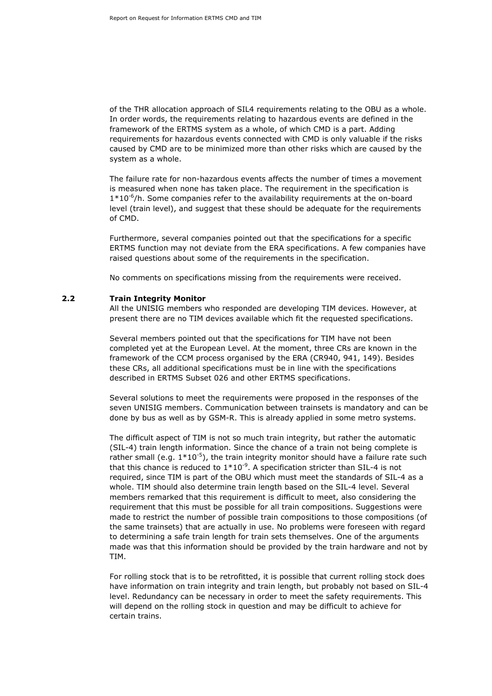of the THR allocation approach of SIL4 requirements relating to the OBU as a whole. In order words, the requirements relating to hazardous events are defined in the framework of the ERTMS system as a whole, of which CMD is a part. Adding requirements for hazardous events connected with CMD is only valuable if the risks caused by CMD are to be minimized more than other risks which are caused by the system as a whole.

The failure rate for non-hazardous events affects the number of times a movement is measured when none has taken place. The requirement in the specification is  $1*10<sup>-6</sup>/h$ . Some companies refer to the availability requirements at the on-board level (train level), and suggest that these should be adequate for the requirements of CMD.

Furthermore, several companies pointed out that the specifications for a specific ERTMS function may not deviate from the ERA specifications. A few companies have raised questions about some of the requirements in the specification.

No comments on specifications missing from the requirements were received.

#### **2.2 Train Integrity Monitor**

All the UNISIG members who responded are developing TIM devices. However, at present there are no TIM devices available which fit the requested specifications.

Several members pointed out that the specifications for TIM have not been completed yet at the European Level. At the moment, three CRs are known in the framework of the CCM process organised by the ERA (CR940, 941, 149). Besides these CRs, all additional specifications must be in line with the specifications described in ERTMS Subset 026 and other ERTMS specifications.

Several solutions to meet the requirements were proposed in the responses of the seven UNISIG members. Communication between trainsets is mandatory and can be done by bus as well as by GSM-R. This is already applied in some metro systems.

The difficult aspect of TIM is not so much train integrity, but rather the automatic (SIL-4) train length information. Since the chance of a train not being complete is rather small (e.g.  $1*10^{-5}$ ), the train integrity monitor should have a failure rate such that this chance is reduced to  $1*10^{-9}$ . A specification stricter than SIL-4 is not required, since TIM is part of the OBU which must meet the standards of SIL-4 as a whole. TIM should also determine train length based on the SIL-4 level. Several members remarked that this requirement is difficult to meet, also considering the requirement that this must be possible for all train compositions. Suggestions were made to restrict the number of possible train compositions to those compositions (of the same trainsets) that are actually in use. No problems were foreseen with regard to determining a safe train length for train sets themselves. One of the arguments made was that this information should be provided by the train hardware and not by TIM.

For rolling stock that is to be retrofitted, it is possible that current rolling stock does have information on train integrity and train length, but probably not based on SIL-4 level. Redundancy can be necessary in order to meet the safety requirements. This will depend on the rolling stock in question and may be difficult to achieve for certain trains.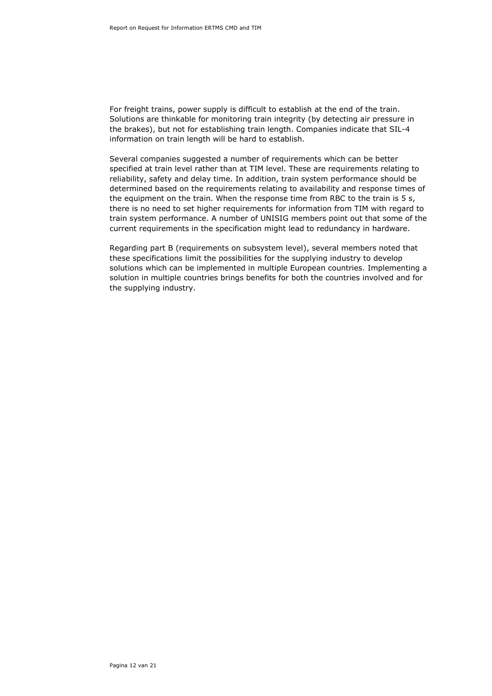For freight trains, power supply is difficult to establish at the end of the train. Solutions are thinkable for monitoring train integrity (by detecting air pressure in the brakes), but not for establishing train length. Companies indicate that SIL-4 information on train length will be hard to establish.

Several companies suggested a number of requirements which can be better specified at train level rather than at TIM level. These are requirements relating to reliability, safety and delay time. In addition, train system performance should be determined based on the requirements relating to availability and response times of the equipment on the train. When the response time from RBC to the train is 5 s, there is no need to set higher requirements for information from TIM with regard to train system performance. A number of UNISIG members point out that some of the current requirements in the specification might lead to redundancy in hardware.

Regarding part B (requirements on subsystem level), several members noted that these specifications limit the possibilities for the supplying industry to develop solutions which can be implemented in multiple European countries. Implementing a solution in multiple countries brings benefits for both the countries involved and for the supplying industry.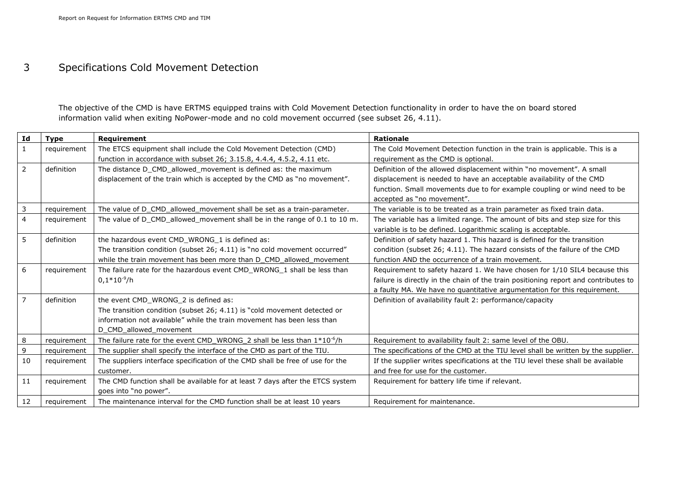## 3 Specifications Cold Movement Detection

The objective of the CMD is have ERTMS equipped trains with Cold Movement Detection functionality in order to have the on board stored information valid when exiting NoPower-mode and no cold movement occurred (see subset 26, 4.11).

| Id             | <b>Type</b> | Requirement                                                                   | <b>Rationale</b>                                                                    |
|----------------|-------------|-------------------------------------------------------------------------------|-------------------------------------------------------------------------------------|
| $\mathbf{1}$   | requirement | The ETCS equipment shall include the Cold Movement Detection (CMD)            | The Cold Movement Detection function in the train is applicable. This is a          |
|                |             | function in accordance with subset 26; 3.15.8, 4.4.4, 4.5.2, 4.11 etc.        | requirement as the CMD is optional.                                                 |
| $\overline{2}$ | definition  | The distance D CMD allowed movement is defined as: the maximum                | Definition of the allowed displacement within "no movement". A small                |
|                |             | displacement of the train which is accepted by the CMD as "no movement".      | displacement is needed to have an acceptable availability of the CMD                |
|                |             |                                                                               | function. Small movements due to for example coupling or wind need to be            |
|                |             |                                                                               | accepted as "no movement".                                                          |
| $\overline{3}$ | requirement | The value of D CMD allowed movement shall be set as a train-parameter.        | The variable is to be treated as a train parameter as fixed train data.             |
| $\overline{4}$ | requirement | The value of D_CMD_allowed_movement shall be in the range of 0.1 to 10 m.     | The variable has a limited range. The amount of bits and step size for this         |
|                |             |                                                                               | variable is to be defined. Logarithmic scaling is acceptable.                       |
| 5              | definition  | the hazardous event CMD_WRONG_1 is defined as:                                | Definition of safety hazard 1. This hazard is defined for the transition            |
|                |             | The transition condition (subset 26; 4.11) is "no cold movement occurred"     | condition (subset 26; 4.11). The hazard consists of the failure of the CMD          |
|                |             | while the train movement has been more than D CMD allowed movement            | function AND the occurrence of a train movement.                                    |
| 6              | requirement | The failure rate for the hazardous event CMD_WRONG_1 shall be less than       | Requirement to safety hazard 1. We have chosen for 1/10 SIL4 because this           |
|                |             | $0.1*10^{-9}$ /h                                                              | failure is directly in the chain of the train positioning report and contributes to |
|                |             |                                                                               | a faulty MA. We have no quantitative argumentation for this requirement.            |
| $\overline{7}$ | definition  | the event CMD_WRONG_2 is defined as:                                          | Definition of availability fault 2: performance/capacity                            |
|                |             | The transition condition (subset 26; 4.11) is "cold movement detected or      |                                                                                     |
|                |             | information not available" while the train movement has been less than        |                                                                                     |
|                |             | D CMD allowed movement                                                        |                                                                                     |
| 8              | requirement | The failure rate for the event CMD WRONG 2 shall be less than $1*10^{-6}/h$   | Requirement to availability fault 2: same level of the OBU.                         |
| $\mathsf 9$    | requirement | The supplier shall specify the interface of the CMD as part of the TIU.       | The specifications of the CMD at the TIU level shall be written by the supplier.    |
| 10             | requirement | The suppliers interface specification of the CMD shall be free of use for the | If the supplier writes specifications at the TIU level these shall be available     |
|                |             | customer.                                                                     | and free for use for the customer.                                                  |
| 11             | requirement | The CMD function shall be available for at least 7 days after the ETCS system | Requirement for battery life time if relevant.                                      |
|                |             | goes into "no power".                                                         |                                                                                     |
| 12             | requirement | The maintenance interval for the CMD function shall be at least 10 years      | Requirement for maintenance.                                                        |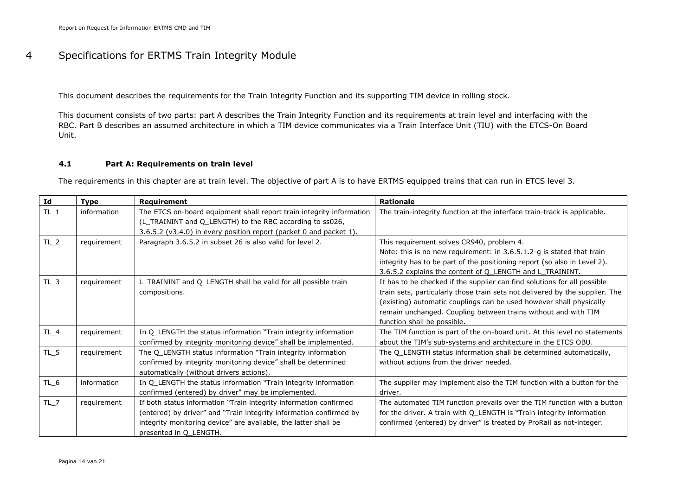## 4 Specifications for ERTMS Train Integrity Module

This document describes the requirements for the Train Integrity Function and its supporting TIM device in rolling stock.

This document consists of two parts: part A describes the Train Integrity Function and its requirements at train level and interfacing with the RBC. Part B describes an assumed architecture in which a TIM device communicates via a Train Interface Unit (TIU) with the ETCS-On Board Unit.

#### **4.1 Part A: Requirements on train level**

The requirements in this chapter are at train level. The objective of part A is to have ERTMS equipped trains that can run in ETCS level 3.

| Id     | <b>Type</b> | Requirement                                                                                                                                                                                                                          | <b>Rationale</b>                                                                                                                                                                                                                                                                                                                 |
|--------|-------------|--------------------------------------------------------------------------------------------------------------------------------------------------------------------------------------------------------------------------------------|----------------------------------------------------------------------------------------------------------------------------------------------------------------------------------------------------------------------------------------------------------------------------------------------------------------------------------|
| $TL_1$ | information | The ETCS on-board equipment shall report train integrity information<br>(L_TRAININT and Q_LENGTH) to the RBC according to ss026,                                                                                                     | The train-integrity function at the interface train-track is applicable.                                                                                                                                                                                                                                                         |
| $TL_2$ | requirement | 3.6.5.2 (v3.4.0) in every position report (packet 0 and packet 1).<br>Paragraph 3.6.5.2 in subset 26 is also valid for level 2.                                                                                                      | This requirement solves CR940, problem 4.<br>Note: this is no new requirement: in 3.6.5.1.2-g is stated that train<br>integrity has to be part of the positioning report (so also in Level 2).<br>3.6.5.2 explains the content of Q LENGTH and L TRAININT.                                                                       |
| $TL_3$ | requirement | L_TRAININT and Q_LENGTH shall be valid for all possible train<br>compositions.                                                                                                                                                       | It has to be checked if the supplier can find solutions for all possible<br>train sets, particularly those train sets not delivered by the supplier. The<br>(existing) automatic couplings can be used however shall physically<br>remain unchanged. Coupling between trains without and with TIM<br>function shall be possible. |
| $TL_4$ | requirement | In Q_LENGTH the status information "Train integrity information<br>confirmed by integrity monitoring device" shall be implemented.                                                                                                   | The TIM function is part of the on-board unit. At this level no statements<br>about the TIM's sub-systems and architecture in the ETCS OBU.                                                                                                                                                                                      |
| $TL_5$ | requirement | The Q LENGTH status information "Train integrity information<br>confirmed by integrity monitoring device" shall be determined<br>automatically (without drivers actions).                                                            | The Q LENGTH status information shall be determined automatically,<br>without actions from the driver needed.                                                                                                                                                                                                                    |
| $TL_6$ | information | In Q_LENGTH the status information "Train integrity information<br>confirmed (entered) by driver" may be implemented.                                                                                                                | The supplier may implement also the TIM function with a button for the<br>driver.                                                                                                                                                                                                                                                |
| $TL_7$ | requirement | If both status information "Train integrity information confirmed<br>(entered) by driver" and "Train integrity information confirmed by<br>integrity monitoring device" are available, the latter shall be<br>presented in Q LENGTH. | The automated TIM function prevails over the TIM function with a button<br>for the driver. A train with Q_LENGTH is "Train integrity information<br>confirmed (entered) by driver" is treated by ProRail as not-integer.                                                                                                         |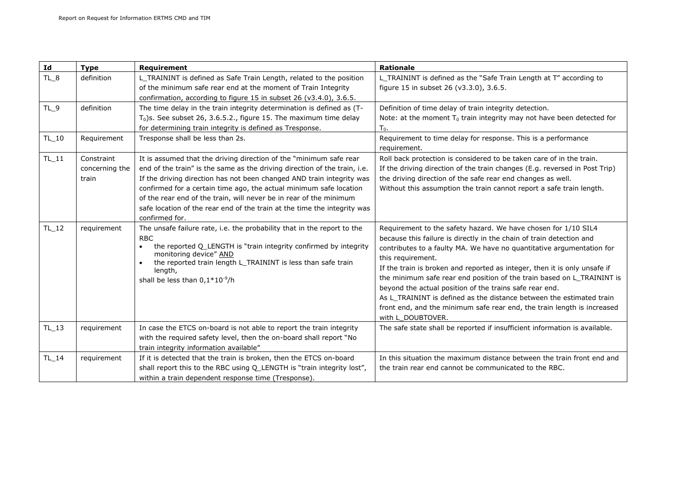| Id      | <b>Type</b>                           | Requirement                                                                                                                                                                                                                                                                                                                                                                                                                                                        | <b>Rationale</b>                                                                                                                                                                                                                                                                                                                                                                                                                                                                                                                                                                                                               |
|---------|---------------------------------------|--------------------------------------------------------------------------------------------------------------------------------------------------------------------------------------------------------------------------------------------------------------------------------------------------------------------------------------------------------------------------------------------------------------------------------------------------------------------|--------------------------------------------------------------------------------------------------------------------------------------------------------------------------------------------------------------------------------------------------------------------------------------------------------------------------------------------------------------------------------------------------------------------------------------------------------------------------------------------------------------------------------------------------------------------------------------------------------------------------------|
| $TL_8$  | definition                            | L_TRAININT is defined as Safe Train Length, related to the position<br>of the minimum safe rear end at the moment of Train Integrity<br>confirmation, according to figure 15 in subset 26 (v3.4.0), 3.6.5.                                                                                                                                                                                                                                                         | L_TRAININT is defined as the "Safe Train Length at T" according to<br>figure 15 in subset 26 (v3.3.0), 3.6.5.                                                                                                                                                                                                                                                                                                                                                                                                                                                                                                                  |
| $TL_9$  | definition                            | The time delay in the train integrity determination is defined as (T-<br>$T_0$ )s. See subset 26, 3.6.5.2., figure 15. The maximum time delay<br>for determining train integrity is defined as Tresponse.                                                                                                                                                                                                                                                          | Definition of time delay of train integrity detection.<br>Note: at the moment $T_0$ train integrity may not have been detected for<br>$T_0$ .                                                                                                                                                                                                                                                                                                                                                                                                                                                                                  |
| $TL_10$ | Requirement                           | Tresponse shall be less than 2s.                                                                                                                                                                                                                                                                                                                                                                                                                                   | Requirement to time delay for response. This is a performance<br>requirement.                                                                                                                                                                                                                                                                                                                                                                                                                                                                                                                                                  |
| $TL_11$ | Constraint<br>concerning the<br>train | It is assumed that the driving direction of the "minimum safe rear<br>end of the train" is the same as the driving direction of the train, i.e.<br>If the driving direction has not been changed AND train integrity was<br>confirmed for a certain time ago, the actual minimum safe location<br>of the rear end of the train, will never be in rear of the minimum<br>safe location of the rear end of the train at the time the integrity was<br>confirmed for. | Roll back protection is considered to be taken care of in the train.<br>If the driving direction of the train changes (E.g. reversed in Post Trip)<br>the driving direction of the safe rear end changes as well.<br>Without this assumption the train cannot report a safe train length.                                                                                                                                                                                                                                                                                                                                      |
| TL_12   | requirement                           | The unsafe failure rate, i.e. the probability that in the report to the<br><b>RBC</b><br>the reported Q_LENGTH is "train integrity confirmed by integrity<br>$\bullet$<br>monitoring device" AND<br>the reported train length L_TRAININT is less than safe train<br>length,<br>shall be less than $0.1*10^{-9}$ /h                                                                                                                                                 | Requirement to the safety hazard. We have chosen for 1/10 SIL4<br>because this failure is directly in the chain of train detection and<br>contributes to a faulty MA. We have no quantitative argumentation for<br>this requirement.<br>If the train is broken and reported as integer, then it is only unsafe if<br>the minimum safe rear end position of the train based on L_TRAININT is<br>beyond the actual position of the trains safe rear end.<br>As L TRAININT is defined as the distance between the estimated train<br>front end, and the minimum safe rear end, the train length is increased<br>with L DOUBTOVER. |
| TL_13   | requirement                           | In case the ETCS on-board is not able to report the train integrity<br>with the required safety level, then the on-board shall report "No<br>train integrity information available"                                                                                                                                                                                                                                                                                | The safe state shall be reported if insufficient information is available.                                                                                                                                                                                                                                                                                                                                                                                                                                                                                                                                                     |
| TL_14   | requirement                           | If it is detected that the train is broken, then the ETCS on-board<br>shall report this to the RBC using Q_LENGTH is "train integrity lost",<br>within a train dependent response time (Tresponse).                                                                                                                                                                                                                                                                | In this situation the maximum distance between the train front end and<br>the train rear end cannot be communicated to the RBC.                                                                                                                                                                                                                                                                                                                                                                                                                                                                                                |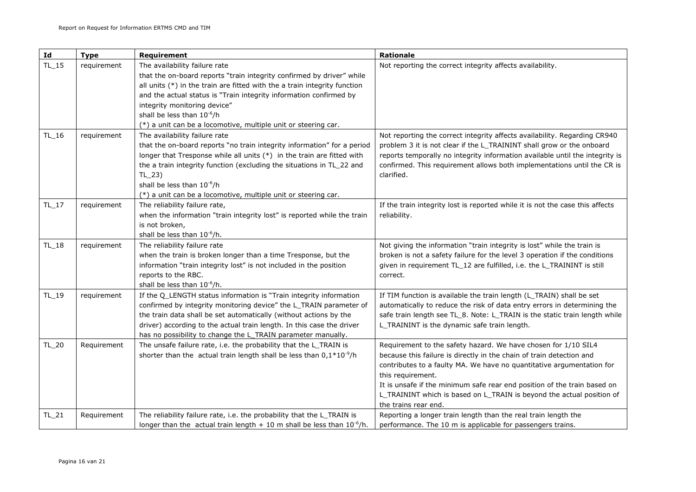| Id        | <b>Type</b> | Requirement                                                                                                                                                                                                                                                                                                                                                                                             | Rationale                                                                                                                                                                                                                                                                                                                                                                                                         |
|-----------|-------------|---------------------------------------------------------------------------------------------------------------------------------------------------------------------------------------------------------------------------------------------------------------------------------------------------------------------------------------------------------------------------------------------------------|-------------------------------------------------------------------------------------------------------------------------------------------------------------------------------------------------------------------------------------------------------------------------------------------------------------------------------------------------------------------------------------------------------------------|
| $TL_{15}$ | requirement | The availability failure rate<br>that the on-board reports "train integrity confirmed by driver" while<br>all units $(*)$ in the train are fitted with the a train integrity function<br>and the actual status is "Train integrity information confirmed by<br>integrity monitoring device"<br>shall be less than 10 <sup>-6</sup> /h<br>(*) a unit can be a locomotive, multiple unit or steering car. | Not reporting the correct integrity affects availability.                                                                                                                                                                                                                                                                                                                                                         |
| TL_16     | requirement | The availability failure rate<br>that the on-board reports "no train integrity information" for a period<br>longer that Tresponse while all units (*) in the train are fitted with<br>the a train integrity function (excluding the situations in TL_22 and<br>$TL_23$<br>shall be less than 10 <sup>-6</sup> /h<br>(*) a unit can be a locomotive, multiple unit or steering car.                      | Not reporting the correct integrity affects availability. Regarding CR940<br>problem 3 it is not clear if the L_TRAININT shall grow or the onboard<br>reports temporally no integrity information available until the integrity is<br>confirmed. This requirement allows both implementations until the CR is<br>clarified.                                                                                       |
| $TL_{17}$ | requirement | The reliability failure rate,<br>when the information "train integrity lost" is reported while the train<br>is not broken,<br>shall be less than 10 <sup>-6</sup> /h.                                                                                                                                                                                                                                   | If the train integrity lost is reported while it is not the case this affects<br>reliability.                                                                                                                                                                                                                                                                                                                     |
| $TL_{18}$ | requirement | The reliability failure rate<br>when the train is broken longer than a time Tresponse, but the<br>information "train integrity lost" is not included in the position<br>reports to the RBC.<br>shall be less than 10 <sup>-6</sup> /h.                                                                                                                                                                  | Not giving the information "train integrity is lost" while the train is<br>broken is not a safety failure for the level 3 operation if the conditions<br>given in requirement TL_12 are fulfilled, i.e. the L_TRAININT is still<br>correct.                                                                                                                                                                       |
| TL_19     | requirement | If the Q_LENGTH status information is "Train integrity information<br>confirmed by integrity monitoring device" the L_TRAIN parameter of<br>the train data shall be set automatically (without actions by the<br>driver) according to the actual train length. In this case the driver<br>has no possibility to change the L_TRAIN parameter manually.                                                  | If TIM function is available the train length (L_TRAIN) shall be set<br>automatically to reduce the risk of data entry errors in determining the<br>safe train length see TL_8. Note: L_TRAIN is the static train length while<br>L_TRAININT is the dynamic safe train length.                                                                                                                                    |
| TL_20     | Requirement | The unsafe failure rate, i.e. the probability that the L_TRAIN is<br>shorter than the actual train length shall be less than $0.1*10^{-9}/h$                                                                                                                                                                                                                                                            | Requirement to the safety hazard. We have chosen for 1/10 SIL4<br>because this failure is directly in the chain of train detection and<br>contributes to a faulty MA. We have no quantitative argumentation for<br>this requirement.<br>It is unsafe if the minimum safe rear end position of the train based on<br>L_TRAININT which is based on L_TRAIN is beyond the actual position of<br>the trains rear end. |
| $TL_21$   | Requirement | The reliability failure rate, i.e. the probability that the L_TRAIN is<br>longer than the actual train length $+10$ m shall be less than $10^{-6}/h$ .                                                                                                                                                                                                                                                  | Reporting a longer train length than the real train length the<br>performance. The 10 m is applicable for passengers trains.                                                                                                                                                                                                                                                                                      |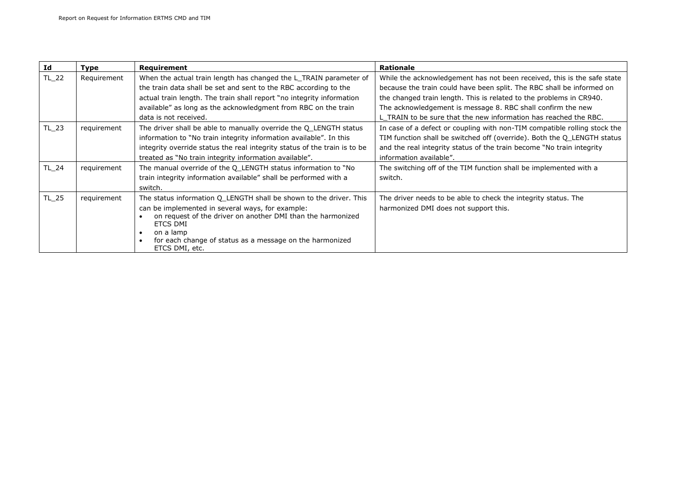| Id    | <b>Type</b> | Requirement                                                               | <b>Rationale</b>                                                          |
|-------|-------------|---------------------------------------------------------------------------|---------------------------------------------------------------------------|
| TL_22 | Requirement | When the actual train length has changed the L_TRAIN parameter of         | While the acknowledgement has not been received, this is the safe state   |
|       |             | the train data shall be set and sent to the RBC according to the          | because the train could have been split. The RBC shall be informed on     |
|       |             | actual train length. The train shall report "no integrity information     | the changed train length. This is related to the problems in CR940.       |
|       |             | available" as long as the acknowledgment from RBC on the train            | The acknowledgement is message 8. RBC shall confirm the new               |
|       |             | data is not received.                                                     | L TRAIN to be sure that the new information has reached the RBC.          |
| TL_23 | requirement | The driver shall be able to manually override the Q LENGTH status         | In case of a defect or coupling with non-TIM compatible rolling stock the |
|       |             | information to "No train integrity information available". In this        | TIM function shall be switched off (override). Both the Q_LENGTH status   |
|       |             | integrity override status the real integrity status of the train is to be | and the real integrity status of the train become "No train integrity     |
|       |             | treated as "No train integrity information available".                    | information available".                                                   |
| TL 24 | requirement | The manual override of the Q LENGTH status information to "No             | The switching off of the TIM function shall be implemented with a         |
|       |             | train integrity information available" shall be performed with a          | switch.                                                                   |
|       |             | switch.                                                                   |                                                                           |
| TL_25 | requirement | The status information Q LENGTH shall be shown to the driver. This        | The driver needs to be able to check the integrity status. The            |
|       |             | can be implemented in several ways, for example:                          | harmonized DMI does not support this.                                     |
|       |             | on request of the driver on another DMI than the harmonized               |                                                                           |
|       |             | ETCS DMI                                                                  |                                                                           |
|       |             | on a lamp<br>for each change of status as a message on the harmonized     |                                                                           |
|       |             | ETCS DMI, etc.                                                            |                                                                           |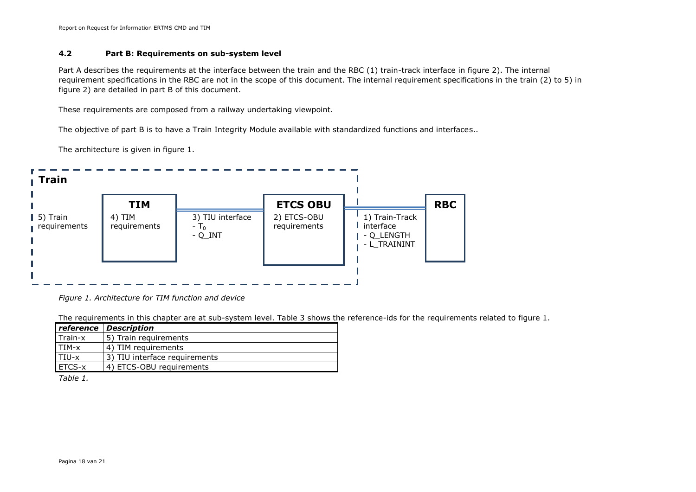Report on Request for Information ERTMS CMD and TIM

#### **4.2 Part B: Requirements on sub-system level**

Part A describes the requirements at the interface between the train and the RBC (1) train-track interface in figure 2). The internal requirement specifications in the RBC are not in the scope of this document. The internal requirement specifications in the train (2) to 5) in figure 2) are detailed in part B of this document.

These requirements are composed from a railway undertaking viewpoint.

The objective of part B is to have a Train Integrity Module available with standardized functions and interfaces..

The architecture is given in figure 1.



*Figure 1. Architecture for TIM function and device*

The requirements in this chapter are at sub-system level. Table 3 shows the reference-ids for the requirements related to figure 1.

|               | <b>reference Description</b>  |
|---------------|-------------------------------|
| l Train-x     | 5) Train requirements         |
| TIM-x         | 4) TIM requirements           |
| TIU-x         | 3) TIU interface requirements |
| <b>ETCS-x</b> | 4) ETCS-OBU requirements      |

*Table 1.*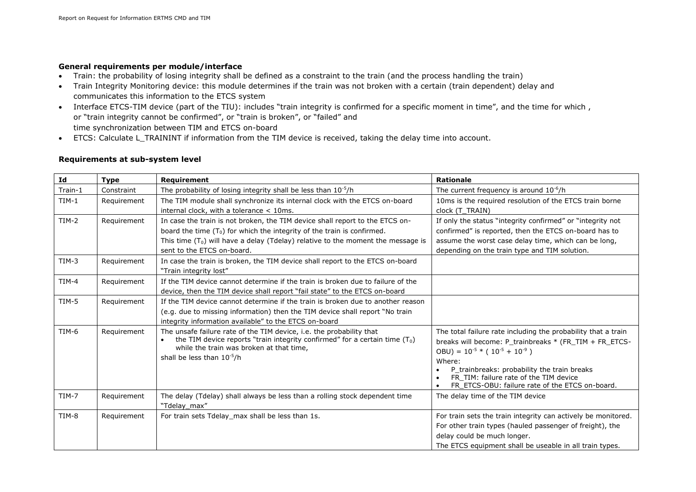#### **General requirements per module/interface**

- Train: the probability of losing integrity shall be defined as a constraint to the train (and the process handling the train)
- Train Integrity Monitoring device: this module determines if the train was not broken with a certain (train dependent) delay and communicates this information to the ETCS system
- Interface ETCS-TIM device (part of the TIU): includes "train integrity is confirmed for a specific moment in time", and the time for which , or "train integrity cannot be confirmed", or "train is broken", or "failed" and time synchronization between TIM and ETCS on-board
- ETCS: Calculate L\_TRAININT if information from the TIM device is received, taking the delay time into account.

#### **Requirements at sub-system level**

| Id      | <b>Type</b> | Requirement                                                                                                                                                                                                                                                                   | <b>Rationale</b>                                                                                                                                                                                                                                                                                                              |
|---------|-------------|-------------------------------------------------------------------------------------------------------------------------------------------------------------------------------------------------------------------------------------------------------------------------------|-------------------------------------------------------------------------------------------------------------------------------------------------------------------------------------------------------------------------------------------------------------------------------------------------------------------------------|
| Train-1 | Constraint  | The probability of losing integrity shall be less than $10^{-5}/h$                                                                                                                                                                                                            | The current frequency is around $10^{-6}/h$                                                                                                                                                                                                                                                                                   |
| $TIM-1$ | Requirement | The TIM module shall synchronize its internal clock with the ETCS on-board<br>internal clock, with a tolerance $<$ 10ms.                                                                                                                                                      | 10ms is the required resolution of the ETCS train borne<br>clock (T TRAIN)                                                                                                                                                                                                                                                    |
| $TIM-2$ | Requirement | In case the train is not broken, the TIM device shall report to the ETCS on-<br>board the time $(T_0)$ for which the integrity of the train is confirmed.<br>This time $(T_0)$ will have a delay (Tdelay) relative to the moment the message is<br>sent to the ETCS on-board. | If only the status "integrity confirmed" or "integrity not<br>confirmed" is reported, then the ETCS on-board has to<br>assume the worst case delay time, which can be long,<br>depending on the train type and TIM solution.                                                                                                  |
| $TIM-3$ | Requirement | In case the train is broken, the TIM device shall report to the ETCS on-board<br>"Train integrity lost"                                                                                                                                                                       |                                                                                                                                                                                                                                                                                                                               |
| $TIM-4$ | Requirement | If the TIM device cannot determine if the train is broken due to failure of the<br>device, then the TIM device shall report "fail state" to the ETCS on-board                                                                                                                 |                                                                                                                                                                                                                                                                                                                               |
| $TIM-5$ | Requirement | If the TIM device cannot determine if the train is broken due to another reason<br>(e.g. due to missing information) then the TIM device shall report "No train<br>integrity information available" to the ETCS on-board                                                      |                                                                                                                                                                                                                                                                                                                               |
| TIM-6   | Requirement | The unsafe failure rate of the TIM device, i.e. the probability that<br>the TIM device reports "train integrity confirmed" for a certain time $(T_0)$<br>while the train was broken at that time,<br>shall be less than 10 <sup>-5</sup> /h                                   | The total failure rate including the probability that a train<br>breaks will become: P_trainbreaks * (FR_TIM + FR_ETCS-<br>OBU) = $10^{-5}$ * ( $10^{-5}$ + $10^{-9}$ )<br>Where:<br>P trainbreaks: probability the train breaks<br>FR TIM: failure rate of the TIM device<br>FR ETCS-OBU: failure rate of the ETCS on-board. |
| $TIM-7$ | Requirement | The delay (Tdelay) shall always be less than a rolling stock dependent time<br>"Tdelay max"                                                                                                                                                                                   | The delay time of the TIM device                                                                                                                                                                                                                                                                                              |
| TIM-8   | Requirement | For train sets Tdelay max shall be less than 1s.                                                                                                                                                                                                                              | For train sets the train integrity can actively be monitored.<br>For other train types (hauled passenger of freight), the<br>delay could be much longer.<br>The ETCS equipment shall be useable in all train types.                                                                                                           |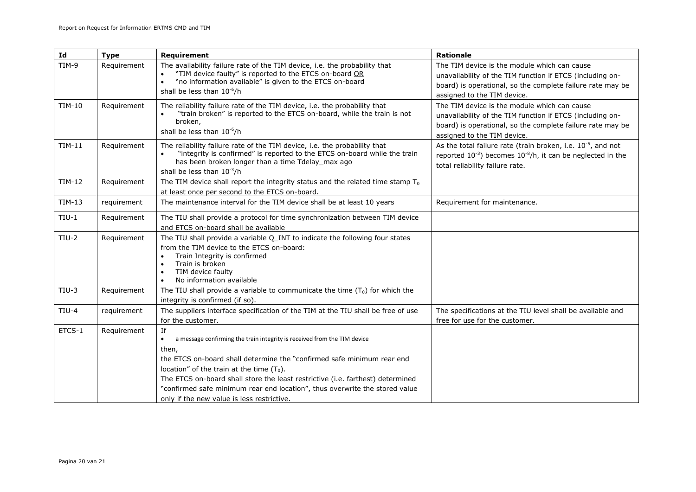| Id            | <b>Type</b> | Requirement                                                                                                                                                                                                                                                                                                                                                                                                                                   | Rationale                                                                                                                                                                                              |
|---------------|-------------|-----------------------------------------------------------------------------------------------------------------------------------------------------------------------------------------------------------------------------------------------------------------------------------------------------------------------------------------------------------------------------------------------------------------------------------------------|--------------------------------------------------------------------------------------------------------------------------------------------------------------------------------------------------------|
| TIM-9         | Requirement | The availability failure rate of the TIM device, i.e. the probability that<br>"TIM device faulty" is reported to the ETCS on-board OR<br>"no information available" is given to the ETCS on-board<br>$\bullet$<br>shall be less than 10 <sup>-6</sup> /h                                                                                                                                                                                      | The TIM device is the module which can cause<br>unavailability of the TIM function if ETCS (including on-<br>board) is operational, so the complete failure rate may be<br>assigned to the TIM device. |
| <b>TIM-10</b> | Requirement | The reliability failure rate of the TIM device, i.e. the probability that<br>"train broken" is reported to the ETCS on-board, while the train is not<br>broken,<br>shall be less than 10 <sup>-6</sup> /h                                                                                                                                                                                                                                     | The TIM device is the module which can cause<br>unavailability of the TIM function if ETCS (including on-<br>board) is operational, so the complete failure rate may be<br>assigned to the TIM device. |
| <b>TIM-11</b> | Requirement | The reliability failure rate of the TIM device, i.e. the probability that<br>"integrity is confirmed" is reported to the ETCS on-board while the train<br>has been broken longer than a time Tdelay_max ago<br>shall be less than $10^{-3}/h$                                                                                                                                                                                                 | As the total failure rate (train broken, i.e. $10^{-5}$ , and not<br>reported $10^{-3}$ ) becomes $10^{-8}/h$ , it can be neglected in the<br>total reliability failure rate.                          |
| TIM-12        | Requirement | The TIM device shall report the integrity status and the related time stamp $T_0$<br>at least once per second to the ETCS on-board.                                                                                                                                                                                                                                                                                                           |                                                                                                                                                                                                        |
| TIM-13        | requirement | The maintenance interval for the TIM device shall be at least 10 years                                                                                                                                                                                                                                                                                                                                                                        | Requirement for maintenance.                                                                                                                                                                           |
| $TIU-1$       | Requirement | The TIU shall provide a protocol for time synchronization between TIM device<br>and ETCS on-board shall be available                                                                                                                                                                                                                                                                                                                          |                                                                                                                                                                                                        |
| $TIU-2$       | Requirement | The TIU shall provide a variable Q_INT to indicate the following four states<br>from the TIM device to the ETCS on-board:<br>Train Integrity is confirmed<br>Train is broken<br>TIM device faulty<br>No information available                                                                                                                                                                                                                 |                                                                                                                                                                                                        |
| $TIU-3$       | Requirement | The TIU shall provide a variable to communicate the time $(T_0)$ for which the<br>integrity is confirmed (if so).                                                                                                                                                                                                                                                                                                                             |                                                                                                                                                                                                        |
| $TIU-4$       | requirement | The suppliers interface specification of the TIM at the TIU shall be free of use<br>for the customer.                                                                                                                                                                                                                                                                                                                                         | The specifications at the TIU level shall be available and<br>free for use for the customer.                                                                                                           |
| ETCS-1        | Requirement | If<br>$\bullet$<br>a message confirming the train integrity is received from the TIM device<br>then,<br>the ETCS on-board shall determine the "confirmed safe minimum rear end<br>location" of the train at the time $(T_0)$ .<br>The ETCS on-board shall store the least restrictive (i.e. farthest) determined<br>"confirmed safe minimum rear end location", thus overwrite the stored value<br>only if the new value is less restrictive. |                                                                                                                                                                                                        |